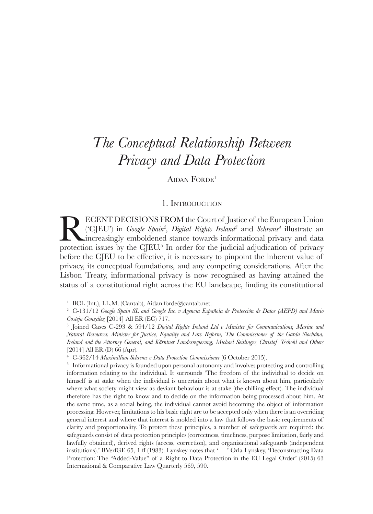AIDAN FORDE<sup>1</sup>

# 1. Introduction

**RECENT DECISIONS FROM the Court of Justice of the European Union** ('CJEU') in *Google Spain<sup>2</sup>, Digital Rights Ireland<sup>3</sup> and <i>Schrems*<sup>4</sup> illustrate an increasingly emboldened stance towards informational privacy and dat ('CJEU') in *Google Spain2 , Digital Rights Ireland3* and *Schrems4* illustrate an increasingly emboldened stance towards informational privacy and data protection issues by the CJEU.<sup>5</sup> In order for the judicial adjudication of privacy before the CJEU to be effective, it is necessary to pinpoint the inherent value of privacy, its conceptual foundations, and any competing considerations. After the Lisbon Treaty, informational privacy is now recognised as having attained the status of a constitutional right across the EU landscape, finding its constitutional

<sup>1</sup> BCL (Int.), LL.M. (Cantab), Aidan.forde@cantab.net.

<sup>2</sup> C-131/12 *Google Spain SL and Google Inc. v Agencia Española de Protección de Datos (AEPD) and Mario Costeja González* [2014] All ER (EC) 717.

<sup>3</sup> Joined Cases C-293 & 594/12 *Digital Rights Ireland Ltd v Minister for Communications, Marine and Natural Resources, Minister for Justice, Equality and Law Reform, The Commissioner of the Garda Síochána, Ireland and the Attorney General, and Kärntner Landesregierung, Michael Seitlinger, Christof Tschohl and Others*  [2014] All ER (D) 66 (Apr).

<sup>4</sup> C-362/14 *Maximillian Schrems v Data Protection Commissioner* (6 October 2015).

<sup>5</sup> Informational privacy is founded upon personal autonomy and involves protecting and controlling information relating to the individual. It surrounds 'The freedom of the individual to decide on himself is at stake when the individual is uncertain about what is known about him, particularly where what society might view as deviant behaviour is at stake (the chilling effect). The individual therefore has the right to know and to decide on the information being processed about him. At the same time, as a social being, the individual cannot avoid becoming the object of information processing. However, limitations to his basic right are to be accepted only when there is an overriding general interest and where that interest is molded into a law that follows the basic requirements of clarity and proportionality. To protect these principles, a number of safeguards are required: the safeguards consist of data protection principles (correctness, timeliness, purpose limitation, fairly and lawfully obtained), derived rights (access, correction), and organisational safeguards (independent institutions).' BVerfGE 65, 1 ff (1983). Lynskey notes that ' ' Orla Lynskey, 'Deconstructing Data Protection: The "Added-Value" of a Right to Data Protection in the EU Legal Order' (2015) 63 International & Comparative Law Quarterly 569, 590.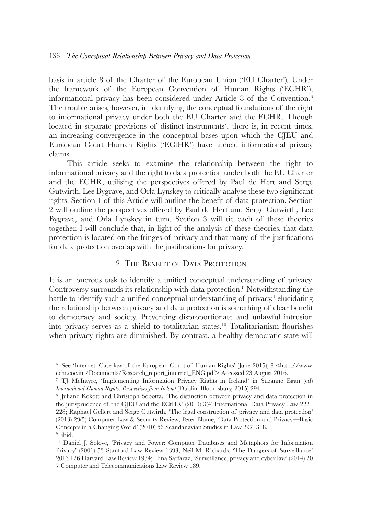basis in article 8 of the Charter of the European Union ('EU Charter')*.* Under the framework of the European Convention of Human Rights ('ECHR'), informational privacy has been considered under Article 8 of the Convention.6 The trouble arises, however, in identifying the conceptual foundations of the right to informational privacy under both the EU Charter and the ECHR. Though located in separate provisions of distinct instruments<sup>7</sup>, there is, in recent times, an increasing convergence in the conceptual bases upon which the CJEU and European Court Human Rights ('ECtHR') have upheld informational privacy claims.

This article seeks to examine the relationship between the right to informational privacy and the right to data protection under both the EU Charter and the ECHR, utilising the perspectives offered by Paul de Hert and Serge Gutwirth, Lee Bygrave, and Orla Lynskey to critically analyse these two significant rights. Section 1 of this Article will outline the benefit of data protection. Section 2 will outline the perspectives offered by Paul de Hert and Serge Gutwirth, Lee Bygrave, and Orla Lynskey in turn. Section 3 will tie each of these theories together. I will conclude that, in light of the analysis of these theories, that data protection is located on the fringes of privacy and that many of the justifications for data protection overlap with the justifications for privacy.

# 2. The Benefit of Data Protection

It is an onerous task to identify a unified conceptual understanding of privacy. Controversy surrounds its relationship with data protection.<sup>8</sup> Notwithstanding the battle to identify such a unified conceptual understanding of privacy,<sup>9</sup> elucidating the relationship between privacy and data protection is something of clear benefit to democracy and society. Preventing disproportionate and unlawful intrusion into privacy serves as a shield to totalitarian states.10 Totalitarianism flourishes when privacy rights are diminished. By contrast, a healthy democratic state will

 $6$  See 'Internet: Case-law of the European Court of Human Rights' (June 2015), 8 <http://www. echr.coe.int/Documents/Research\_report\_internet\_ENG.pdf> Accessed 23 August 2016.

<sup>7</sup> TJ McIntyre, 'Implementing Information Privacy Rights in Ireland' in Suzanne Egan (ed) *International Human Rights: Perspectives from Ireland* (Dublin: Bloomsbury, 2015) 294.<br><sup>8</sup> Juliane Kokott and Christoph Sobotta, 'The distinction between privacy and data protection in

the jurisprudence of the CJEU and the ECtHR' (2013) 3(4) International Data Privacy Law 222– 228; Raphael Gellert and Serge Gutwirth, 'The legal construction of privacy and data protection' (2013) 29(5) Computer Law & Security Review; Peter Blume, 'Data Protection and Privacy—Basic Concepts in a Changing World' (2010) 56 Scandanavian Studies in Law 297–318.

 $9$  ibid.

<sup>&</sup>lt;sup>10</sup> Daniel J. Solove, 'Privacy and Power: Computer Databases and Metaphors for Information Privacy' (2001) 53 Stanford Law Review 1393; Neil M. Richards, 'The Dangers of Surveillance' 2013 126 Harvard Law Review 1934; Hina Sarfaraz, 'Surveillance, privacy and cyber law' (2014) 20 7 Computer and Telecommunications Law Review 189.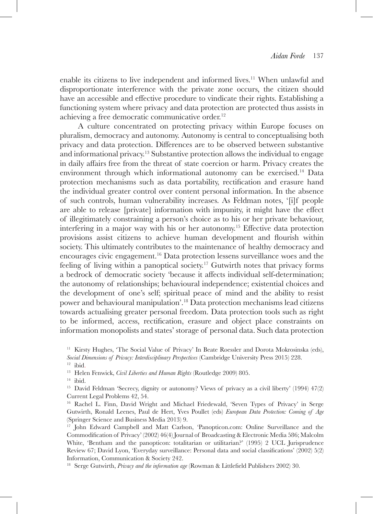enable its citizens to live independent and informed lives.11 When unlawful and disproportionate interference with the private zone occurs, the citizen should have an accessible and effective procedure to vindicate their rights. Establishing a functioning system where privacy and data protection are protected thus assists in achieving a free democratic communicative order.<sup>12</sup>

A culture concentrated on protecting privacy within Europe focuses on pluralism, democracy and autonomy. Autonomy is central to conceptualising both privacy and data protection. Differences are to be observed between substantive and informational privacy.13 Substantive protection allows the individual to engage in daily affairs free from the threat of state coercion or harm. Privacy creates the environment through which informational autonomy can be exercised.14 Data protection mechanisms such as data portability, rectification and erasure hand the individual greater control over content personal information. In the absence of such controls, human vulnerability increases. As Feldman notes, '[i]f people are able to release [private] information with impunity, it might have the effect of illegitimately constraining a person's choice as to his or her private behaviour, interfering in a major way with his or her autonomy.15 Effective data protection provisions assist citizens to achieve human development and flourish within society. This ultimately contributes to the maintenance of healthy democracy and encourages civic engagement.16 Data protection lessens surveillance woes and the feeling of living within a panoptical society.<sup>17</sup> Gutwirth notes that privacy forms a bedrock of democratic society 'because it affects individual self-determination; the autonomy of relationships; behavioural independence; existential choices and the development of one's self; spiritual peace of mind and the ability to resist power and behavioural manipulation'.18 Data protection mechanisms lead citizens towards actualising greater personal freedom. Data protection tools such as right to be informed, access, rectification, erasure and object place constraints on information monopolists and states' storage of personal data. Such data protection

<sup>&</sup>lt;sup>11</sup> Kirsty Hughes, 'The Social Value of Privacy' In Beate Roessler and Dorota Mokrosinska (eds), *Social Dimensions of Privacy: Interdisciplinary Perspectives* (Cambridge University Press 2015) 228.

<sup>&</sup>lt;sup>13</sup> Helen Fenwick, *Civil Liberties and Human Rights* (Routledge 2009) 805.<br><sup>14</sup> ibid.

<sup>&</sup>lt;sup>15</sup> David Feldman 'Secrecy, dignity or autonomy? Views of privacy as a civil liberty'  $(1994)$  47 $(2)$ Current Legal Problems 42, 54.

<sup>16</sup> Rachel L. Finn, David Wright and Michael Friedewald, 'Seven Types of Privacy' in Serge Gutwirth, Ronald Leenes, Paul de Hert, Yves Poullet (eds) *European Data Protection: Coming of Age* (Springer Science and Business Media 2013) 9.

<sup>&</sup>lt;sup>17</sup> John Edward Campbell and Matt Carlson, 'Panopticon.com: Online Surveillance and the Commodification of Privacy' (2002) 46(4) Journal of Broadcasting & Electronic Media 586; Malcolm White, 'Bentham and the panopticon: totalitarian or utilitarian?' (1995) 2 UCL Jurisprudence Review 67; David Lyon, 'Everyday surveillance: Personal data and social classifications' (2002) 5(2) Information, Communication & Society 242.

<sup>18</sup> Serge Gutwirth, *Privacy and the information age* (Rowman & Littlefield Publishers 2002) 30.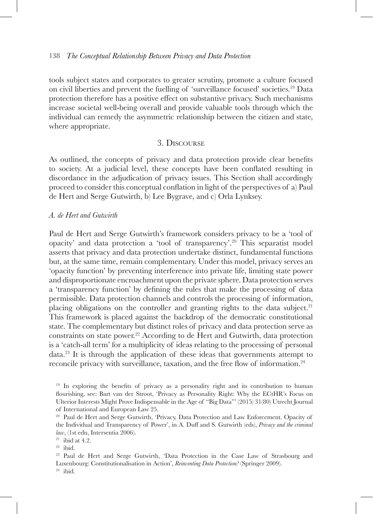tools subject states and corporates to greater scrutiny, promote a culture focused on civil liberties and prevent the fuelling of 'surveillance focused' societies.19 Data protection therefore has a positive effect on substantive privacy. Such mechanisms increase societal well-being overall and provide valuable tools through which the individual can remedy the asymmetric relationship between the citizen and state, where appropriate.

# 3. Discourse

As outlined, the concepts of privacy and data protection provide clear benefits to society. At a judicial level, these concepts have been conflated resulting in discordance in the adjudication of privacy issues. This Section shall accordingly proceed to consider this conceptual conflation in light of the perspectives of a) Paul de Hert and Serge Gutwirth, b) Lee Bygrave, and c) Orla Lynksey.

#### *A. de Hert and Gutwirth*

Paul de Hert and Serge Gutwirth's framework considers privacy to be a 'tool of opacity' and data protection a 'tool of transparency'.20 This separatist model asserts that privacy and data protection undertake distinct, fundamental functions but, at the same time, remain complementary. Under this model, privacy serves an 'opacity function' by preventing interference into private life, limiting state power and disproportionate encroachment upon the private sphere. Data protection serves a 'transparency function' by defining the rules that make the processing of data permissible. Data protection channels and controls the processing of information, placing obligations on the controller and granting rights to the data subject.<sup>21</sup> This framework is placed against the backdrop of the democratic constitutional state. The complementary but distinct roles of privacy and data protection serve as constraints on state power.<sup>22</sup> According to de Hert and Gutwirth, data protection is a 'catch-all term' for a multiplicity of ideas relating to the processing of personal data.23 It is through the application of these ideas that governments attempt to reconcile privacy with surveillance, taxation, and the free flow of information.<sup>24</sup>

<sup>&</sup>lt;sup>19</sup> In exploring the benefits of privacy as a personality right and its contribution to human flourishing, see: Bart van der Stroot, 'Privacy as Personality Right: Why the ECtHR's Focus on Ulterior Interests Might Prove Indispensable in the Age of "Big Data"' (2015) 31(80) Utrecht Journal of International and European Law 25.

<sup>20</sup> Paul de Hert and Serge Gutwirth, 'Privacy, Data Protection and Law Enforcement. Opacity of the Individual and Transparency of Power', in A. Duff and S. Gutwirth (eds), *Privacy and the criminal law*, (1st edn, Intersentia 2006).

 $21$  ibid at 4.2.

<sup>22</sup> ibid.

<sup>23</sup> Paul de Hert and Serge Gutwirth, 'Data Protection in the Case Law of Strasbourg and Luxenbourg: Constitutionalisation in Action', *Reinventing Data Protection?* (Springer 2009).  $24$  ibid.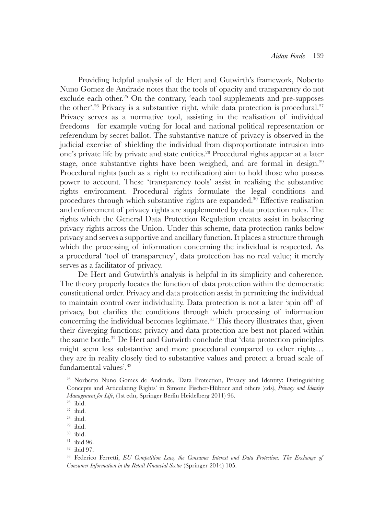Providing helpful analysis of de Hert and Gutwirth's framework, Noberto Nuno Gomez de Andrade notes that the tools of opacity and transparency do not exclude each other.<sup>25</sup> On the contrary, 'each tool supplements and pre-supposes the other'.<sup>26</sup> Privacy is a substantive right, while data protection is procedural.<sup>27</sup> Privacy serves as a normative tool, assisting in the realisation of individual freedoms—for example voting for local and national political representation or referendum by secret ballot. The substantive nature of privacy is observed in the judicial exercise of shielding the individual from disproportionate intrusion into one's private life by private and state entities.<sup>28</sup> Procedural rights appear at a later stage, once substantive rights have been weighed, and are formal in design.<sup>29</sup> Procedural rights (such as a right to rectification) aim to hold those who possess power to account. These 'transparency tools' assist in realising the substantive rights environment. Procedural rights formulate the legal conditions and procedures through which substantive rights are expanded.30 Effective realisation and enforcement of privacy rights are supplemented by data protection rules. The rights which the General Data Protection Regulation creates assist in bolstering privacy rights across the Union. Under this scheme, data protection ranks below privacy and serves a supportive and ancillary function. It places a structure through which the processing of information concerning the individual is respected. As a procedural 'tool of transparency', data protection has no real value; it merely serves as a facilitator of privacy.

De Hert and Gutwirth's analysis is helpful in its simplicity and coherence. The theory properly locates the function of data protection within the democratic constitutional order. Privacy and data protection assist in permitting the individual to maintain control over individuality. Data protection is not a later 'spin off' of privacy, but clarifies the conditions through which processing of information concerning the individual becomes legitimate. $31$  This theory illustrates that, given their diverging functions; privacy and data protection are best not placed within the same bottle.32 De Hert and Gutwirth conclude that 'data protection principles might seem less substantive and more procedural compared to other rights… they are in reality closely tied to substantive values and protect a broad scale of fundamental values'.33

<sup>25</sup> Norberto Nuno Gomes de Andrade, 'Data Protection, Privacy and Identity: Distinguishing Concepts and Articulating Rights' in Simone Fischer-Hübner and others (eds), *Privacy and Identity Management for Life*, (1st edn, Springer Berlin Heidelberg 2011) 96.

 $26$  ibid.

<sup>27</sup> ibid.

 $28$  ibid.

 $29$  ibid.

<sup>30</sup> ibid.

<sup>31</sup> ibid 96.

<sup>32</sup> ibid 97.

<sup>33</sup> Federico Ferretti, *EU Competition Law, the Consumer Interest and Data Protection: The Exchange of Consumer Information in the Retail Financial Sector* (Springer 2014) 105.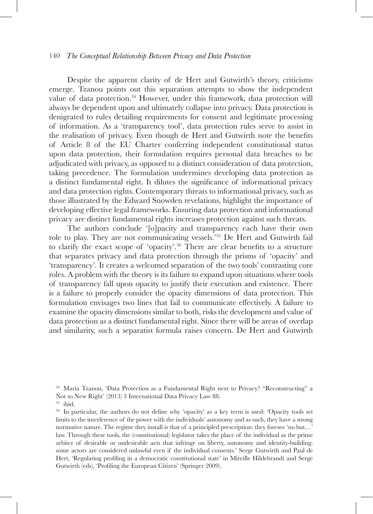Despite the apparent clarity of de Hert and Gutwirth's theory, criticisms emerge. Tzanou points out this separation attempts to show the independent value of data protection.34 However, under this framework, data protection will always be dependent upon and ultimately collapse into privacy. Data protection is denigrated to rules detailing requirements for consent and legitimate processing of information. As a 'transparency tool', data protection rules serve to assist in the realisation of privacy. Even though de Hert and Gutwirth note the benefits of Article 8 of the EU Charter conferring independent constitutional status upon data protection, their formulation requires personal data breaches to be adjudicated with privacy, as opposed to a distinct consideration of data protection, taking precedence. The formulation undermines developing data protection as a distinct fundamental right. It dilutes the significance of informational privacy and data protection rights. Contemporary threats to informational privacy, such as those illustrated by the Edward Snowden revelations, highlight the importance of developing effective legal frameworks. Ensuring data protection and informational privacy are distinct fundamental rights increases protection against such threats.

The authors conclude '[o]pacity and transparency each have their own role to play. They are not communicating vessels.'35 De Hert and Gutwirth fail to clarify the exact scope of 'opacity'.36 There are clear benefits to a structure that separates privacy and data protection through the prisms of 'opacity' and 'transparency'. It creates a welcomed separation of the two tools' contrasting core roles. A problem with the theory is its failure to expand upon situations where tools of transparency fall upon opacity to justify their execution and existence. There is a failure to properly consider the opacity dimensions of data protection. This formulation envisages two lines that fail to communicate effectively. A failure to examine the opacity dimensions similar to both, risks the development and value of data protection as a distinct fundamental right. Since there will be areas of overlap and similarity, such a separatist formula raises concern. De Hert and Gutwirth

<sup>34</sup> Maria Tzanou, 'Data Protection as a Fundamental Right next to Privacy? "Reconstructing" a Not so New Right' (2013) 3 International Data Privacy Law 88.

<sup>35</sup> ibid.

<sup>36</sup> In particular, the authors do not define why 'opacity' as a key term is used: 'Opacity tools set limits to the interference of the power with the individuals' autonomy and as such, they have a strong normative nature. The regime they install is that of a principled prescription: they foresee 'no but…' law. Through these tools, the (constitutional) legislator takes the place of the individual as the prime arbiter of desirable or undesirable acts that infringe on liberty, autonomy and identity-building: some actors are considered unlawful even if the individual consents.' Serge Gutwirth and Paul de Hert, 'Regulating profiling in a democratic constitutional state' in Mireille Hildebrandt and Serge Gutwirth (eds), 'Profiling the European Citizen' (Springer 2009).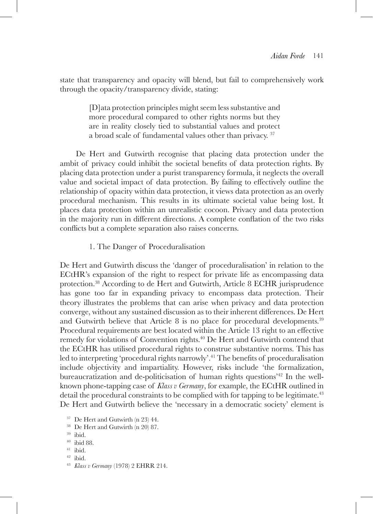state that transparency and opacity will blend, but fail to comprehensively work through the opacity/transparency divide, stating:

> [D]ata protection principles might seem less substantive and more procedural compared to other rights norms but they are in reality closely tied to substantial values and protect a broad scale of fundamental values other than privacy. 37

De Hert and Gutwirth recognise that placing data protection under the ambit of privacy could inhibit the societal benefits of data protection rights. By placing data protection under a purist transparency formula, it neglects the overall value and societal impact of data protection. By failing to effectively outline the relationship of opacity within data protection, it views data protection as an overly procedural mechanism. This results in its ultimate societal value being lost. It places data protection within an unrealistic cocoon. Privacy and data protection in the majority run in different directions. A complete conflation of the two risks conflicts but a complete separation also raises concerns.

### 1. The Danger of Proceduralisation

De Hert and Gutwirth discuss the 'danger of proceduralisation' in relation to the ECtHR's expansion of the right to respect for private life as encompassing data protection.38 According to de Hert and Gutwirth, Article 8 ECHR jurisprudence has gone too far in expanding privacy to encompass data protection. Their theory illustrates the problems that can arise when privacy and data protection converge, without any sustained discussion as to their inherent differences. De Hert and Gutwirth believe that Article 8 is no place for procedural developments.<sup>39</sup> Procedural requirements are best located within the Article 13 right to an effective remedy for violations of Convention rights.<sup>40</sup> De Hert and Gutwirth contend that the ECtHR has utilised procedural rights to construe substantive norms. This has led to interpreting 'procedural rights narrowly'.<sup>41</sup> The benefits of proceduralisation include objectivity and impartiality. However, risks include 'the formalization, bureaucratization and de-politicisation of human rights questions'42 In the wellknown phone-tapping case of *Klass v Germany*, for example, the ECtHR outlined in detail the procedural constraints to be complied with for tapping to be legitimate.<sup>43</sup> De Hert and Gutwirth believe the 'necessary in a democratic society' element is

<sup>37</sup> De Hert and Gutwirth (n 23) 44.

- <sup>38</sup> De Hert and Gutwirth (n 20) 87.
- <sup>39</sup> ibid.
- $^{40}\,$ ibid 88.
- <sup>41</sup> ibid.
- $42$  ibid.
- <sup>43</sup> *Klass v Germany* (1978) 2 EHRR 214.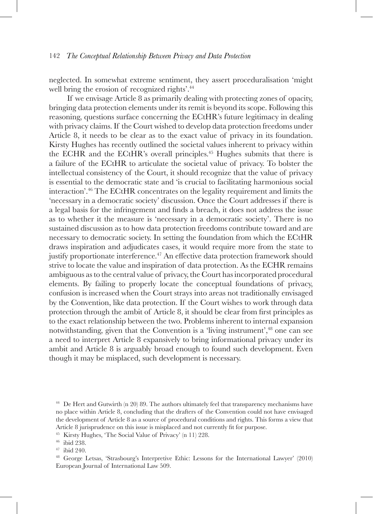neglected. In somewhat extreme sentiment, they assert proceduralisation 'might well bring the erosion of recognized rights'.<sup>44</sup>

If we envisage Article 8 as primarily dealing with protecting zones of opacity, bringing data protection elements under its remit is beyond its scope. Following this reasoning, questions surface concerning the ECtHR's future legitimacy in dealing with privacy claims. If the Court wished to develop data protection freedoms under Article 8, it needs to be clear as to the exact value of privacy in its foundation. Kirsty Hughes has recently outlined the societal values inherent to privacy within the ECHR and the ECtHR's overall principles.<sup>45</sup> Hughes submits that there is a failure of the ECtHR to articulate the societal value of privacy. To bolster the intellectual consistency of the Court, it should recognize that the value of privacy is essential to the democratic state and 'is crucial to facilitating harmonious social interaction'.46 The ECtHR concentrates on the legality requirement and limits the 'necessary in a democratic society' discussion. Once the Court addresses if there is a legal basis for the infringement and finds a breach, it does not address the issue as to whether it the measure is 'necessary in a democratic society'. There is no sustained discussion as to how data protection freedoms contribute toward and are necessary to democratic society. In setting the foundation from which the ECtHR draws inspiration and adjudicates cases, it would require more from the state to justify proportionate interference.<sup>47</sup> An effective data protection framework should strive to locate the value and inspiration of data protection. As the ECHR remains ambiguous as to the central value of privacy, the Court has incorporated procedural elements. By failing to properly locate the conceptual foundations of privacy, confusion is increased when the Court strays into areas not traditionally envisaged by the Convention, like data protection. If the Court wishes to work through data protection through the ambit of Article 8, it should be clear from first principles as to the exact relationship between the two. Problems inherent to internal expansion notwithstanding, given that the Convention is a 'living instrument',<sup>48</sup> one can see a need to interpret Article 8 expansively to bring informational privacy under its ambit and Article 8 is arguably broad enough to found such development. Even though it may be misplaced, such development is necessary.

<sup>&</sup>lt;sup>44</sup> De Hert and Gutwirth (n 20) 89. The authors ultimately feel that transparency mechanisms have no place within Article 8, concluding that the drafters of the Convention could not have envisaged the development of Article 8 as a source of procedural conditions and rights. This forms a view that Article 8 jurisprudence on this issue is misplaced and not currently fit for purpose.

<sup>&</sup>lt;sup>45</sup> Kirsty Hughes, 'The Social Value of Privacy' (n 11) 228.<br><sup>46</sup> ibid 238.<br><sup>47</sup> ibid 240.<br><sup>48</sup> George Letsas, 'Strasbourg's Interpretive Ethic: Lessons for the International Lawyer' (2010) European Journal of International Law 509.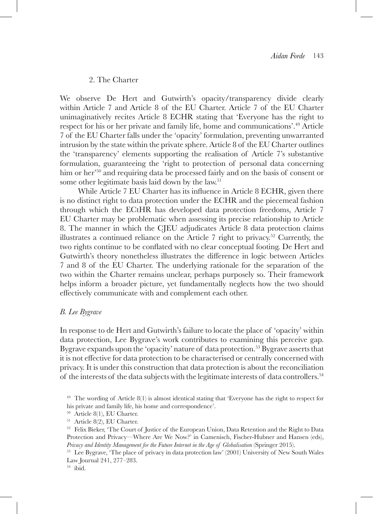# 2. The Charter

We observe De Hert and Gutwirth's opacity/transparency divide clearly within Article 7 and Article 8 of the EU Charter. Article 7 of the EU Charter unimaginatively recites Article 8 ECHR stating that 'Everyone has the right to respect for his or her private and family life, home and communications'.49 Article 7 of the EU Charter falls under the 'opacity' formulation, preventing unwarranted intrusion by the state within the private sphere. Article 8 of the EU Charter outlines the 'transparency' elements supporting the realisation of Article 7's substantive formulation, guaranteeing the 'right to protection of personal data concerning him or her'50 and requiring data be processed fairly and on the basis of consent or some other legitimate basis laid down by the law.<sup>51</sup>

While Article 7 EU Charter has its influence in Article 8 ECHR, given there is no distinct right to data protection under the ECHR and the piecemeal fashion through which the ECtHR has developed data protection freedoms, Article 7 EU Charter may be problematic when assessing its precise relationship to Article 8. The manner in which the CJEU adjudicates Article 8 data protection claims illustrates a continued reliance on the Article 7 right to privacy.<sup>52</sup> Currently, the two rights continue to be conflated with no clear conceptual footing. De Hert and Gutwirth's theory nonetheless illustrates the difference in logic between Articles 7 and 8 of the EU Charter. The underlying rationale for the separation of the two within the Charter remains unclear, perhaps purposely so. Their framework helps inform a broader picture, yet fundamentally neglects how the two should effectively communicate with and complement each other.

### *B. Lee Bygrave*

In response to de Hert and Gutwirth's failure to locate the place of 'opacity' within data protection, Lee Bygrave's work contributes to examining this perceive gap. Bygrave expands upon the 'opacity' nature of data protection.<sup>53</sup> Bygrave asserts that it is not effective for data protection to be characterised or centrally concerned with privacy. It is under this construction that data protection is about the reconciliation of the interests of the data subjects with the legitimate interests of data controllers.54

<sup>49</sup> The wording of Article 8(1) is almost identical stating that 'Everyone has the right to respect for his private and family life, his home and correspondence'.

<sup>50</sup> Article 8(1), EU Charter.

<sup>51</sup> Article 8(2), EU Charter.

<sup>&</sup>lt;sup>52</sup> Felix Bieker, 'The Court of Justice of the European Union, Data Retention and the Right to Data Protection and Privacy—Where Are We Now?' in Camenisch, Fischer-Hubner and Hansen (eds), *Privacy and Identity Management for the Future Internet in the Age of Globalisation* (Springer 2015).

<sup>53</sup> Lee Bygrave, 'The place of privacy in data protection law' (2001) University of New South Wales Law Journal 241, 277–283.

<sup>54</sup> ibid.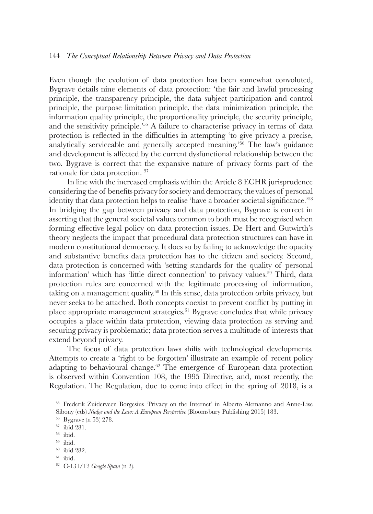Even though the evolution of data protection has been somewhat convoluted, Bygrave details nine elements of data protection: 'the fair and lawful processing principle, the transparency principle, the data subject participation and control principle, the purpose limitation principle, the data minimization principle, the information quality principle, the proportionality principle, the security principle, and the sensitivity principle.'55 A failure to characterise privacy in terms of data protection is reflected in the difficulties in attempting 'to give privacy a precise, analytically serviceable and generally accepted meaning.'56 The law's guidance and development is affected by the current dysfunctional relationship between the two. Bygrave is correct that the expansive nature of privacy forms part of the rationale for data protection. 57

In line with the increased emphasis within the Article 8 ECHR jurisprudence considering the of benefits privacy for society and democracy, the values of personal identity that data protection helps to realise 'have a broader societal significance.'<sup>58</sup> In bridging the gap between privacy and data protection, Bygrave is correct in asserting that the general societal values common to both must be recognised when forming effective legal policy on data protection issues. De Hert and Gutwirth's theory neglects the impact that procedural data protection structures can have in modern constitutional democracy. It does so by failing to acknowledge the opacity and substantive benefits data protection has to the citizen and society. Second, data protection is concerned with 'setting standards for the quality of personal information' which has 'little direct connection' to privacy values.59 Third, data protection rules are concerned with the legitimate processing of information, taking on a management quality.60 In this sense, data protection orbits privacy, but never seeks to be attached. Both concepts coexist to prevent conflict by putting in place appropriate management strategies.<sup>61</sup> Bygrave concludes that while privacy occupies a place within data protection, viewing data protection as serving and securing privacy is problematic; data protection serves a multitude of interests that extend beyond privacy.

The focus of data protection laws shifts with technological developments. Attempts to create a 'right to be forgotten' illustrate an example of recent policy adapting to behavioural change.62 The emergence of European data protection is observed within Convention 108, the 1995 Directive, and, most recently, the Regulation. The Regulation, due to come into effect in the spring of 2018, is a

<sup>55</sup> Frederik Zuiderveen Borgesius 'Privacy on the Internet' in Alberto Alemanno and Anne-Lise Sibony (eds) *Nudge and the Law: A European Perspective* (Bloomsbury Publishing 2015) 183.

<sup>&</sup>lt;sup>56</sup> Bygrave (n 53) 278.<br><sup>57</sup> ibid 281.<br><sup>59</sup> ibid.<br><sup>69</sup> ibid. 62<br><sup>61</sup> ibid. <sup>62</sup> C-131/12 *Google Spain* (n 2).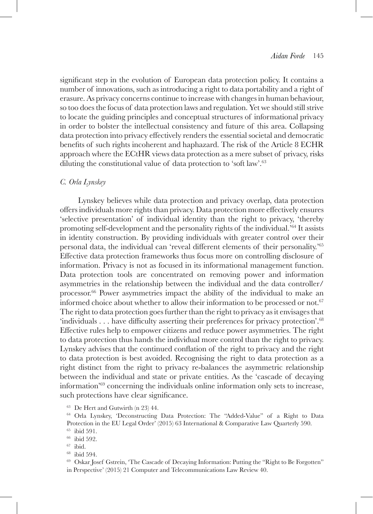significant step in the evolution of European data protection policy. It contains a number of innovations, such as introducing a right to data portability and a right of erasure. As privacy concerns continue to increase with changes in human behaviour, so too does the focus of data protection laws and regulation. Yet we should still strive to locate the guiding principles and conceptual structures of informational privacy in order to bolster the intellectual consistency and future of this area. Collapsing data protection into privacy effectively renders the essential societal and democratic benefits of such rights incoherent and haphazard. The risk of the Article 8 ECHR approach where the ECtHR views data protection as a mere subset of privacy, risks diluting the constitutional value of data protection to 'soft law'.<sup>63</sup>

### *C. Orla Lynskey*

Lynskey believes while data protection and privacy overlap, data protection offers individuals more rights than privacy. Data protection more effectively ensures 'selective presentation' of individual identity than the right to privacy, 'thereby promoting self-development and the personality rights of the individual.'64 It assists in identity construction. By providing individuals with greater control over their personal data, the individual can 'reveal different elements of their personality.'<sup>65</sup> Effective data protection frameworks thus focus more on controlling disclosure of information. Privacy is not as focused in its informational management function. Data protection tools are concentrated on removing power and information asymmetries in the relationship between the individual and the data controller/ processor.66 Power asymmetries impact the ability of the individual to make an informed choice about whether to allow their information to be processed or not.<sup>67</sup> The right to data protection goes further than the right to privacy as it envisages that 'individuals . . . have difficulty asserting their preferences for privacy protection'.<sup>68</sup> Effective rules help to empower citizens and reduce power asymmetries. The right to data protection thus hands the individual more control than the right to privacy. Lynskey advises that the continued conflation of the right to privacy and the right to data protection is best avoided. Recognising the right to data protection as a right distinct from the right to privacy re-balances the asymmetric relationship between the individual and state or private entities. As the 'cascade of decaying information'69 concerning the individuals online information only sets to increase, such protections have clear significance.

<sup>63</sup> De Hert and Gutwirth (n 23) 44.

<sup>64</sup> Orla Lynskey, 'Deconstructing Data Protection: The "Added-Value" of a Right to Data Protection in the EU Legal Order' (2015) 63 International & Comparative Law Quarterly 590.

<sup>69</sup> Oskar Josef Gstrein, 'The Cascade of Decaying Information: Putting the "Right to Be Forgotten" in Perspective' (2015) 21 Computer and Telecommunications Law Review 40.

<sup>65</sup> ibid 591.

<sup>66</sup> ibid 592.

 $\frac{67}{68}$  ibid.<br> $\frac{68}{100}$  ibid.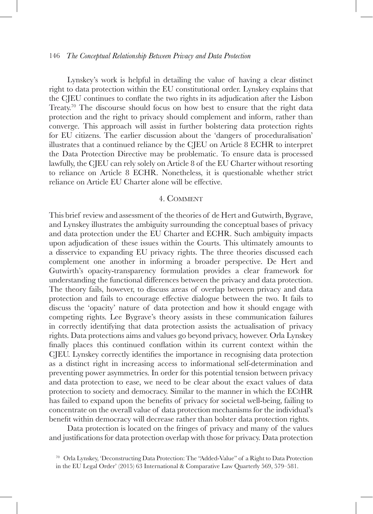Lynskey's work is helpful in detailing the value of having a clear distinct right to data protection within the EU constitutional order. Lynskey explains that the CJEU continues to conflate the two rights in its adjudication after the Lisbon Treaty.<sup>70</sup> The discourse should focus on how best to ensure that the right data protection and the right to privacy should complement and inform, rather than converge. This approach will assist in further bolstering data protection rights for EU citizens. The earlier discussion about the 'dangers of proceduralisation' illustrates that a continued reliance by the CJEU on Article 8 ECHR to interpret the Data Protection Directive may be problematic. To ensure data is processed lawfully, the CJEU can rely solely on Article 8 of the EU Charter without resorting to reliance on Article 8 ECHR. Nonetheless, it is questionable whether strict reliance on Article EU Charter alone will be effective.

# 4. Comment

This brief review and assessment of the theories of de Hert and Gutwirth, Bygrave, and Lynskey illustrates the ambiguity surrounding the conceptual bases of privacy and data protection under the EU Charter and ECHR. Such ambiguity impacts upon adjudication of these issues within the Courts. This ultimately amounts to a disservice to expanding EU privacy rights. The three theories discussed each complement one another in informing a broader perspective. De Hert and Gutwirth's opacity-transparency formulation provides a clear framework for understanding the functional differences between the privacy and data protection. The theory fails, however, to discuss areas of overlap between privacy and data protection and fails to encourage effective dialogue between the two. It fails to discuss the 'opacity' nature of data protection and how it should engage with competing rights. Lee Bygrave's theory assists in these communication failures in correctly identifying that data protection assists the actualisation of privacy rights. Data protections aims and values go beyond privacy, however. Orla Lynskey finally places this continued conflation within its current context within the CJEU. Lynskey correctly identifies the importance in recognising data protection as a distinct right in increasing access to informational self-determination and preventing power asymmetries. In order for this potential tension between privacy and data protection to ease, we need to be clear about the exact values of data protection to society and democracy. Similar to the manner in which the ECtHR has failed to expand upon the benefits of privacy for societal well-being, failing to concentrate on the overall value of data protection mechanisms for the individual's benefit within democracy will decrease rather than bolster data protection rights.

Data protection is located on the fringes of privacy and many of the values and justifications for data protection overlap with those for privacy. Data protection

<sup>70</sup> Orla Lynskey, 'Deconstructing Data Protection: The "Added-Value" of a Right to Data Protection in the EU Legal Order' (2015) 63 International & Comparative Law Quarterly 569, 579–581.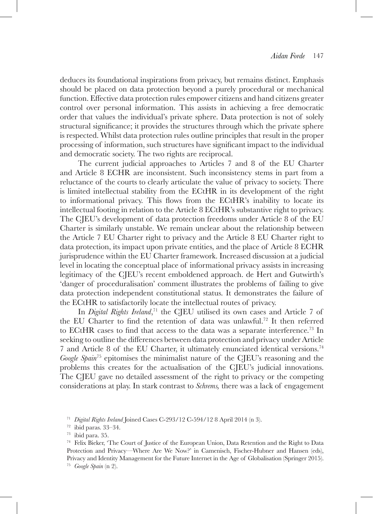deduces its foundational inspirations from privacy, but remains distinct. Emphasis should be placed on data protection beyond a purely procedural or mechanical function. Effective data protection rules empower citizens and hand citizens greater control over personal information. This assists in achieving a free democratic order that values the individual's private sphere. Data protection is not of solely structural significance; it provides the structures through which the private sphere is respected. Whilst data protection rules outline principles that result in the proper processing of information, such structures have significant impact to the individual and democratic society. The two rights are reciprocal.

The current judicial approaches to Articles 7 and 8 of the EU Charter and Article 8 ECHR are inconsistent. Such inconsistency stems in part from a reluctance of the courts to clearly articulate the value of privacy to society. There is limited intellectual stability from the ECtHR in its development of the right to informational privacy. This flows from the ECtHR's inability to locate its intellectual footing in relation to the Article 8 ECtHR's substantive right to privacy. The CJEU's development of data protection freedoms under Article 8 of the EU Charter is similarly unstable. We remain unclear about the relationship between the Article 7 EU Charter right to privacy and the Article 8 EU Charter right to data protection, its impact upon private entities, and the place of Article 8 ECHR jurisprudence within the EU Charter framework. Increased discussion at a judicial level in locating the conceptual place of informational privacy assists in increasing legitimacy of the CJEU's recent emboldened approach. de Hert and Gutwirth's 'danger of proceduralisation' comment illustrates the problems of failing to give data protection independent constitutional status. It demonstrates the failure of the ECtHR to satisfactorily locate the intellectual routes of privacy.

In *Digital Rights Ireland*, <sup>71</sup> the CJEU utilised its own cases and Article 7 of the EU Charter to find the retention of data was unlawful.<sup>72</sup> It then referred to ECtHR cases to find that access to the data was a separate interference.<sup>73</sup> In seeking to outline the differences between data protection and privacy under Article 7 and Article 8 of the EU Charter, it ultimately enunciated identical versions.74 *Google Spain*75 epitomises the minimalist nature of the CJEU's reasoning and the problems this creates for the actualisation of the CJEU's judicial innovations. The CJEU gave no detailed assessment of the right to privacy or the competing considerations at play. In stark contrast to *Schrems,* there was a lack of engagement

<sup>71</sup> *Digital Rights Ireland* Joined Cases C-293/12 C-594/12 8 April 2014 (n 3). 72 ibid paras. 33–34. 73 ibid para. 35. 74 Felix Bieker, 'The Court of Justice of the European Union, Data Retention and the Right to Data Protection and Privacy—Where Are We Now?' in Camenisch, Fischer-Hubner and Hansen (eds), Privacy and Identity Management for the Future Internet in the Age of Globalisation (Springer 2015). <sup>75</sup> *Google Spain* (n 2).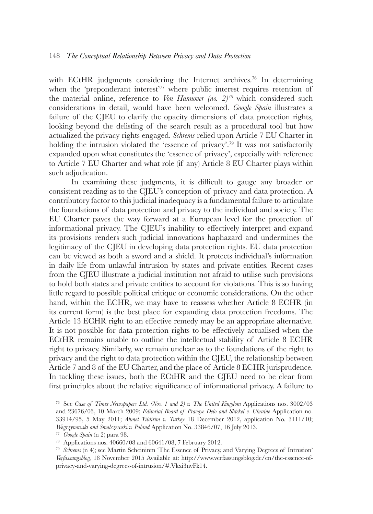with ECtHR judgments considering the Internet archives.<sup>76</sup> In determining when the 'preponderant interest'<sup>77</sup> where public interest requires retention of the material online, reference to *Von Hannover (no. 2)78* which considered such considerations in detail, would have been welcomed. *Google Spain* illustrates a failure of the CJEU to clarify the opacity dimensions of data protection rights, looking beyond the delisting of the search result as a procedural tool but how actualized the privacy rights engaged. *Schrems* relied upon Article 7 EU Charter in holding the intrusion violated the 'essence of privacy'.<sup>79</sup> It was not satisfactorily expanded upon what constitutes the 'essence of privacy', especially with reference to Article 7 EU Charter and what role (if any) Article 8 EU Charter plays within such adjudication.

 In examining these judgments, it is difficult to gauge any broader or consistent reading as to the CJEU's conception of privacy and data protection. A contributory factor to this judicial inadequacy is a fundamental failure to articulate the foundations of data protection and privacy to the individual and society. The EU Charter paves the way forward at a European level for the protection of informational privacy. The CJEU's inability to effectively interpret and expand its provisions renders such judicial innovations haphazard and undermines the legitimacy of the CJEU in developing data protection rights. EU data protection can be viewed as both a sword and a shield. It protects individual's information in daily life from unlawful intrusion by states and private entities. Recent cases from the CJEU illustrate a judicial institution not afraid to utilise such provisions to hold both states and private entities to account for violations. This is so having little regard to possible political critique or economic considerations. On the other hand, within the ECHR, we may have to reassess whether Article 8 ECHR (in its current form) is the best place for expanding data protection freedoms. The Article 13 ECHR right to an effective remedy may be an appropriate alternative. It is not possible for data protection rights to be effectively actualised when the ECtHR remains unable to outline the intellectual stability of Article 8 ECHR right to privacy. Similarly, we remain unclear as to the foundations of the right to privacy and the right to data protection within the CJEU, the relationship between Article 7 and 8 of the EU Charter, and the place of Article 8 ECHR jurisprudence. In tackling these issues, both the ECtHR and the CJEU need to be clear from first principles about the relative significance of informational privacy. A failure to

<sup>76</sup> See *Case of Times Newspapers Ltd. (Nos. 1 and 2) v. The United Kingdom* Applications nos. 3002/03 and 23676/03, 10 March 2009; *Editorial Board of Pravoye Delo and Shtekel v. Ukraine* Application no. 33914/95, 5 May 2011; *Ahmet Yildirim v. Turkey* 18 December 2012, application No. 3111/10; Wegrzynowski and Smolczewski v. Poland Application No. 33846/07, 16 July 2013.<br>
<sup>77</sup> Google Spain (n 2) para 98.<br>
<sup>78</sup> Applications nos. 40660/08 and 60641/08, 7 February 2012.<br>
<sup>79</sup> Schrems (n 4); see Martin Scheininm 'Th

*Verfassungsblog,* 18 November 2015 Available at: http://www.verfassungsblog.de/en/the-essence-ofprivacy-and-varying-degrees-of-intrusion/#.Vkxi3nvFk14.